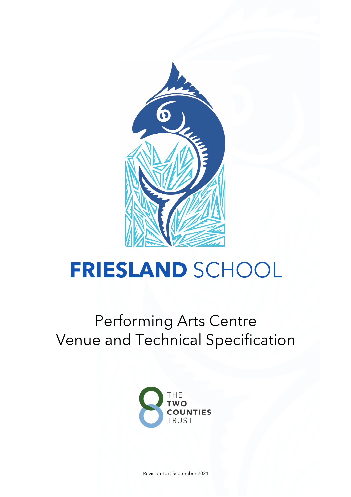

# **FRIESLAND** SCHOOL

# Performing Arts Centre Venue and Technical Specification



Revision 1.5 | September 2021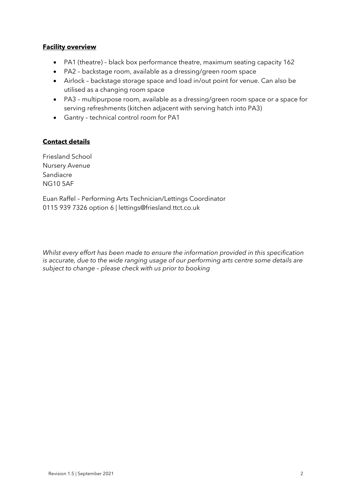#### **Facility overview**

- PA1 (theatre) black box performance theatre, maximum seating capacity 162
- PA2 backstage room, available as a dressing/green room space
- Airlock backstage storage space and load in/out point for venue. Can also be utilised as a changing room space
- PA3 multipurpose room, available as a dressing/green room space or a space for serving refreshments (kitchen adjacent with serving hatch into PA3)
- Gantry technical control room for PA1

#### **Contact details**

Friesland School Nursery Avenue Sandiacre NG10 5AF

Euan Raffel – Performing Arts Technician/Lettings Coordinator 0115 939 7326 option 6 | lettings@friesland.ttct.co.uk

*Whilst every effort has been made to ensure the information provided in this specification is accurate, due to the wide ranging usage of our performing arts centre some details are subject to change – please check with us prior to booking*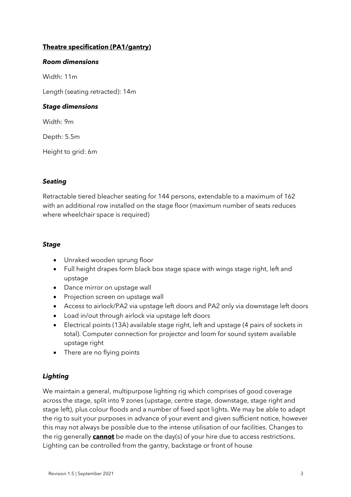# **Theatre specification (PA1/gantry)**

#### *Room dimensions*

Width: 11m

Length (seating retracted): 14m

#### *Stage dimensions*

Width: 9m

Depth: 5.5m

Height to grid: 6m

#### *Seating*

Retractable tiered bleacher seating for 144 persons, extendable to a maximum of 162 with an additional row installed on the stage floor (maximum number of seats reduces where wheelchair space is required)

#### *Stage*

- Unraked wooden sprung floor
- Full height drapes form black box stage space with wings stage right, left and upstage
- Dance mirror on upstage wall
- Projection screen on upstage wall
- Access to airlock/PA2 via upstage left doors and PA2 only via downstage left doors
- Load in/out through airlock via upstage left doors
- Electrical points (13A) available stage right, left and upstage (4 pairs of sockets in total). Computer connection for projector and loom for sound system available upstage right
- There are no flying points

# *Lighting*

We maintain a general, multipurpose lighting rig which comprises of good coverage across the stage, split into 9 zones (upstage, centre stage, downstage, stage right and stage left), plus colour floods and a number of fixed spot lights. We may be able to adapt the rig to suit your purposes in advance of your event and given sufficient notice, however this may not always be possible due to the intense utilisation of our facilities. Changes to the rig generally **cannot** be made on the day(s) of your hire due to access restrictions. Lighting can be controlled from the gantry, backstage or front of house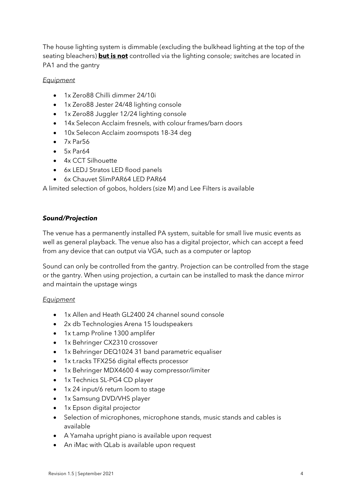The house lighting system is dimmable (excluding the bulkhead lighting at the top of the seating bleachers) **but is not** controlled via the lighting console; switches are located in PA1 and the gantry

#### *Equipment*

- 1x Zero88 Chilli dimmer 24/10i
- 1x Zero88 Jester 24/48 lighting console
- 1x Zero88 Juggler 12/24 lighting console
- 14x Selecon Acclaim fresnels, with colour frames/barn doors
- 10x Selecon Acclaim zoomspots 18-34 deg
- $\bullet$  7x Par56
- 5x Par64
- 4x CCT Silhouette
- 6x LEDJ Stratos LED flood panels
- 6x Chauvet SlimPAR64 LED PAR64

A limited selection of gobos, holders (size M) and Lee Filters is available

#### *Sound/Projection*

The venue has a permanently installed PA system, suitable for small live music events as well as general playback. The venue also has a digital projector, which can accept a feed from any device that can output via VGA, such as a computer or laptop

Sound can only be controlled from the gantry. Projection can be controlled from the stage or the gantry. When using projection, a curtain can be installed to mask the dance mirror and maintain the upstage wings

#### *Equipment*

- 1x Allen and Heath GL2400 24 channel sound console
- 2x db Technologies Arena 15 loudspeakers
- 1x t.amp Proline 1300 amplifer
- 1x Behringer CX2310 crossover
- 1x Behringer DEQ1024 31 band parametric equaliser
- 1x t.racks TFX256 digital effects processor
- 1x Behringer MDX4600 4 way compressor/limiter
- 1x Technics SL-PG4 CD player
- 1x 24 input/6 return loom to stage
- 1x Samsung DVD/VHS player
- 1x Epson digital projector
- Selection of microphones, microphone stands, music stands and cables is available
- A Yamaha upright piano is available upon request
- An iMac with QLab is available upon request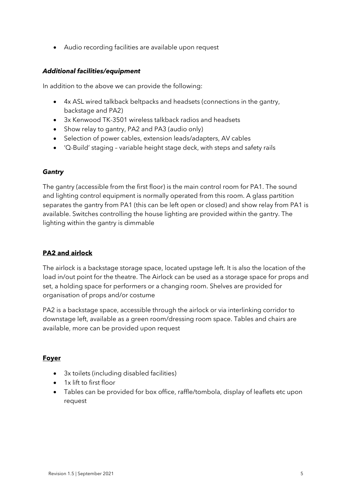• Audio recording facilities are available upon request

#### *Additional facilities/equipment*

In addition to the above we can provide the following:

- 4x ASL wired talkback beltpacks and headsets (connections in the gantry, backstage and PA2)
- 3x Kenwood TK-3501 wireless talkback radios and headsets
- Show relay to gantry, PA2 and PA3 (audio only)
- Selection of power cables, extension leads/adapters, AV cables
- 'Q-Build' staging variable height stage deck, with steps and safety rails

#### *Gantry*

The gantry (accessible from the first floor) is the main control room for PA1. The sound and lighting control equipment is normally operated from this room. A glass partition separates the gantry from PA1 (this can be left open or closed) and show relay from PA1 is available. Switches controlling the house lighting are provided within the gantry. The lighting within the gantry is dimmable

# **PA2 and airlock**

The airlock is a backstage storage space, located upstage left. It is also the location of the load in/out point for the theatre. The Airlock can be used as a storage space for props and set, a holding space for performers or a changing room. Shelves are provided for organisation of props and/or costume

PA2 is a backstage space, accessible through the airlock or via interlinking corridor to downstage left, available as a green room/dressing room space. Tables and chairs are available, more can be provided upon request

#### **Foyer**

- 3x toilets (including disabled facilities)
- 1x lift to first floor
- Tables can be provided for box office, raffle/tombola, display of leaflets etc upon request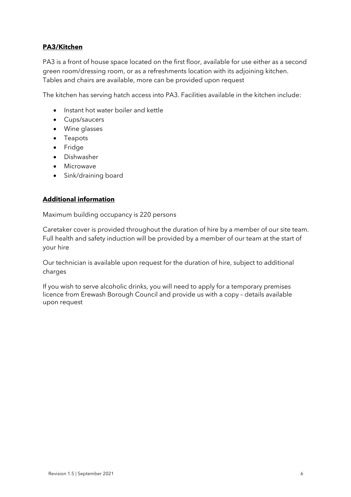### **PA3/Kitchen**

PA3 is a front of house space located on the first floor, available for use either as a second green room/dressing room, or as a refreshments location with its adjoining kitchen. Tables and chairs are available, more can be provided upon request

The kitchen has serving hatch access into PA3. Facilities available in the kitchen include:

- Instant hot water boiler and kettle
- Cups/saucers
- Wine glasses
- Teapots
- Fridge
- Dishwasher
- Microwave
- Sink/draining board

#### **Additional information**

Maximum building occupancy is 220 persons

Caretaker cover is provided throughout the duration of hire by a member of our site team. Full health and safety induction will be provided by a member of our team at the start of your hire

Our technician is available upon request for the duration of hire, subject to additional charges

If you wish to serve alcoholic drinks, you will need to apply for a temporary premises licence from Erewash Borough Council and provide us with a copy – details available upon request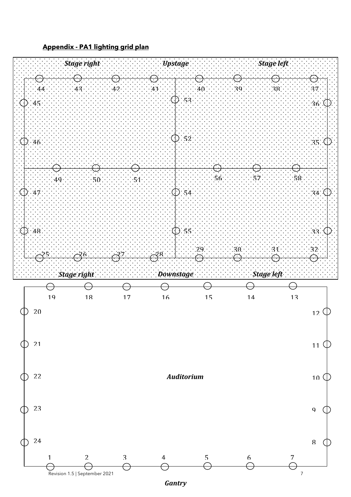



*Gantry*